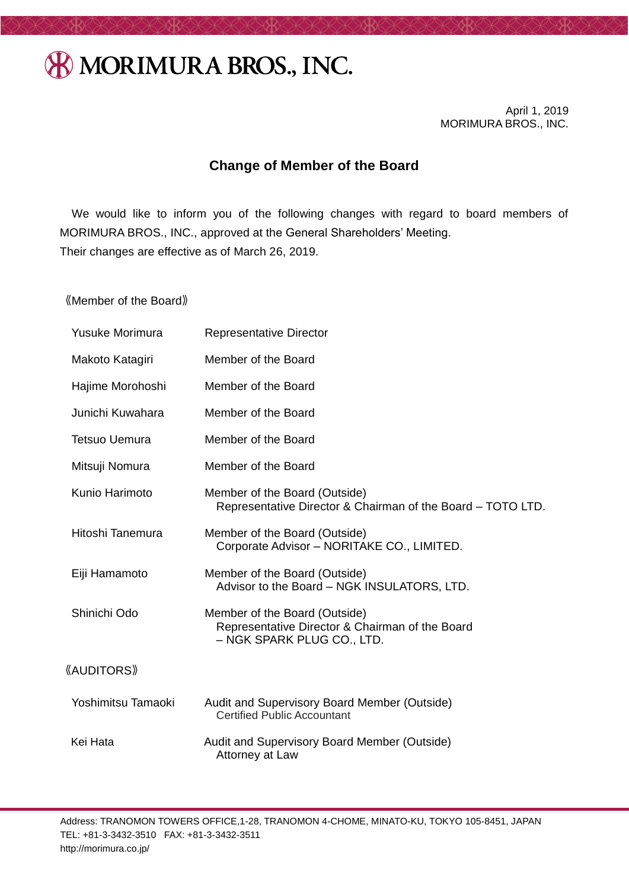## **& MORIMURA BROS., INC.**

April 1, 2019 MORIMURA BROS., INC.

## **Change of Member of the Board**

We would like to inform you of the following changes with regard to board members of MORIMURA BROS., INC., approved at the General Shareholders' Meeting. Their changes are effective as of March 26, 2019.

《Member of the Board》

| <b>Yusuke Morimura</b> | <b>Representative Director</b>                                                                                 |
|------------------------|----------------------------------------------------------------------------------------------------------------|
| Makoto Katagiri        | Member of the Board                                                                                            |
| Hajime Morohoshi       | Member of the Board                                                                                            |
| Junichi Kuwahara       | Member of the Board                                                                                            |
| <b>Tetsuo Uemura</b>   | Member of the Board                                                                                            |
| Mitsuji Nomura         | Member of the Board                                                                                            |
| Kunio Harimoto         | Member of the Board (Outside)<br>Representative Director & Chairman of the Board - TOTO LTD.                   |
| Hitoshi Tanemura       | Member of the Board (Outside)<br>Corporate Advisor - NORITAKE CO., LIMITED.                                    |
| Eiji Hamamoto          | Member of the Board (Outside)<br>Advisor to the Board - NGK INSULATORS, LTD.                                   |
| Shinichi Odo           | Member of the Board (Outside)<br>Representative Director & Chairman of the Board<br>- NGK SPARK PLUG CO., LTD. |
| <b>《AUDITORS》</b>      |                                                                                                                |
| Yoshimitsu Tamaoki     | Audit and Supervisory Board Member (Outside)<br><b>Certified Public Accountant</b>                             |
| Kei Hata               | Audit and Supervisory Board Member (Outside)<br>Attorney at Law                                                |